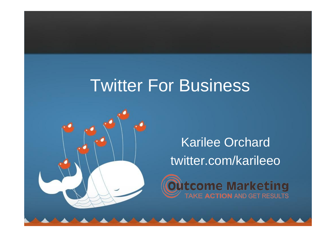# Twitter For Business



Karilee Orchard twitter.com/karileeo

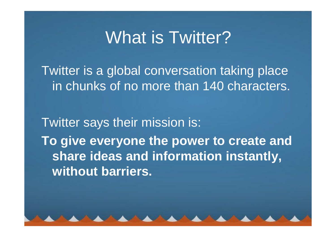#### What is Twitter?

Twitter is a global conversation taking place in chunks of no more than 140 characters.

Twitter says their mission is: **To give everyone the power to create and share ideas and information instantly, without barriers.**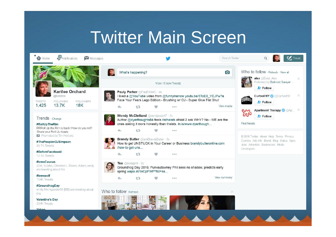## Twitter Main Screen

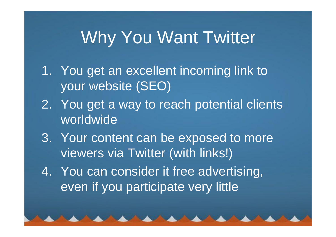### Why You Want Twitter

- 1. You get an excellent incoming link to your website (SEO)
- 2. You get a way to reach potential clients worldwide
- 3. Your content can be exposed to more viewers via Twitter (with links!)
- 4. You can consider it free advertising, even if you participate very little

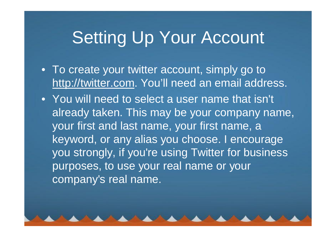## Setting Up Your Account

- To create your twitter account, simply go to http://twitter.com. You'll need an email address.
- You will need to select a user name that isn't already taken. This may be your company name, your first and last name, your first name, a keyword, or any alias you choose. I encourage you strongly, if you're using Twitter for business purposes, to use your real name or your company's real name.

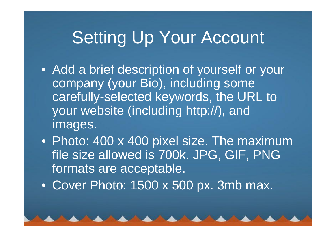# Setting Up Your Account

- Add a brief description of yourself or your company (your Bio), including some carefully-selected keywords, the URL to your website (including http://), and images.
- Photo: 400 x 400 pixel size. The maximum file size allowed is 700k. JPG, GIF, PNG formats are acceptable.
- Cover Photo: 1500 x 500 px. 3mb max.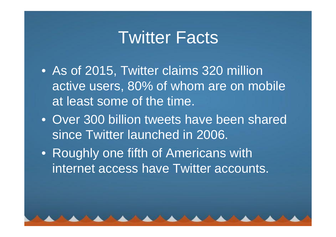#### Twitter Facts

- As of 2015, Twitter claims 320 million active users, 80% of whom are on mobile at least some of the time.
- Over 300 billion tweets have been shared since Twitter launched in 2006.
- Roughly one fifth of Americans with internet access have Twitter accounts.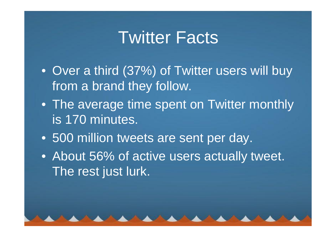#### Twitter Facts

- Over a third (37%) of Twitter users will buy from a brand they follow.
- The average time spent on Twitter monthly is 170 minutes.
- 500 million tweets are sent per day.
- About 56% of active users actually tweet. The rest just lurk.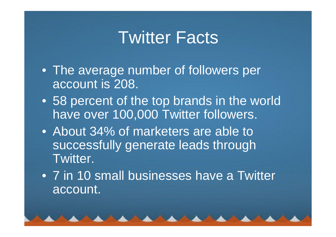#### Twitter Facts

- The average number of followers per account is 208.
- 58 percent of the top brands in the world have over 100,000 Twitter followers.
- About 34% of marketers are able to successfully generate leads through Twitter.
- 7 in 10 small businesses have a Twitter account.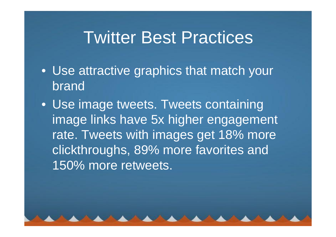## Twitter Best Practices

- Use attractive graphics that match your brand
- Use image tweets. Tweets containing image links have 5x higher engagement rate. Tweets with images get 18% more clickthroughs, 89% more favorites and 150% more retweets.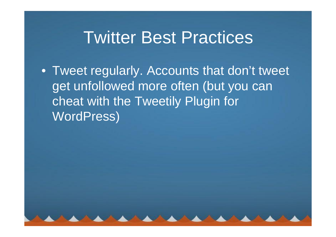## Twitter Best Practices

• Tweet regularly. Accounts that don't tweet get unfollowed more often (but you can cheat with the Tweetily Plugin for WordPress)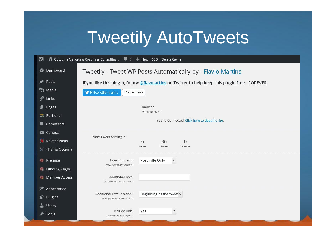# Tweetily AutoTweets

| $\circledR$<br>△ Outcome Marketing Coaching, Consulting ■ 0 + New SEO Delete Cache |                                                                                                        |                                                                     |                                 |  |
|------------------------------------------------------------------------------------|--------------------------------------------------------------------------------------------------------|---------------------------------------------------------------------|---------------------------------|--|
|                                                                                    | <b>20</b> Dashboard<br>Tweetily - Tweet WP Posts Automatically by - Flavio Martins                     |                                                                     |                                 |  |
|                                                                                    | Posts<br>If you like this plugin, follow @flaymartins on Twitter to help keep this plugin freeFOREVER! |                                                                     |                                 |  |
|                                                                                    | <b>Q<sub>1</sub></b> Media                                                                             | S Follow @flavmartins<br>35.6K followers                            |                                 |  |
| ℰ                                                                                  | Links                                                                                                  |                                                                     |                                 |  |
| ■                                                                                  | Pages                                                                                                  | karileeo<br>Vancouver, BC                                           |                                 |  |
|                                                                                    | Portfolio                                                                                              | You're Connected! Click here to deauthorize.                        |                                 |  |
|                                                                                    | Comments                                                                                               |                                                                     |                                 |  |
|                                                                                    | Contact                                                                                                | Next Tweet coming in:                                               |                                 |  |
|                                                                                    | RelatedPosts                                                                                           |                                                                     | 36<br>6<br>$\mathbf{0}$         |  |
|                                                                                    | $\times$ Theme Options                                                                                 |                                                                     | Hours<br>Minutes<br>Seconds     |  |
| $\odot$                                                                            | Premise                                                                                                | <b>Tweet Content:</b>                                               | Post Title Only<br>$\checkmark$ |  |
|                                                                                    | <b>G</b> Landing Pages                                                                                 | What do you want to share?                                          |                                 |  |
| Q                                                                                  | <b>Member Access</b>                                                                                   | <b>Additional Text:</b><br>Text added to your auto posts.           |                                 |  |
| ∕*                                                                                 | Appearance                                                                                             |                                                                     |                                 |  |
|                                                                                    | <b>M</b> Plugins                                                                                       | <b>Additional Text Location:</b><br>Where you want the added text.: | Beginning of the twee v         |  |
|                                                                                    | <b>SALA</b> Users                                                                                      |                                                                     |                                 |  |
|                                                                                    | Tools <b>S</b>                                                                                         | Include Link:<br>Include a link to your post?                       | Yes<br>$\checkmark$             |  |
|                                                                                    |                                                                                                        |                                                                     |                                 |  |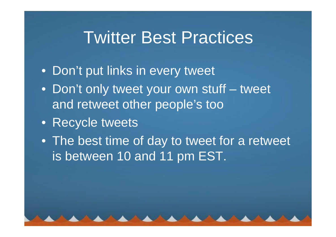## Twitter Best Practices

- Don't put links in every tweet
- Don't only tweet your own stuff tweet and retweet other people's too
- Recycle tweets
- The best time of day to tweet for a retweet is between 10 and 11 pm EST.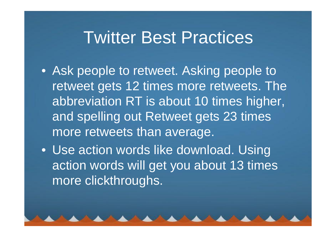#### Twitter Best Practices

- Ask people to retweet. Asking people to retweet gets 12 times more retweets. The abbreviation RT is about 10 times higher, and spelling out Retweet gets 23 times more retweets than average.
- Use action words like download. Using action words will get you about 13 times more clickthroughs.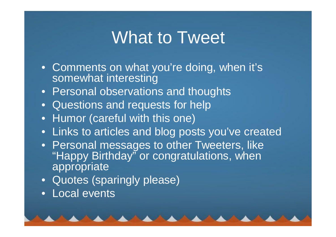#### What to Tweet

- Comments on what you're doing, when it's somewhat interesting
- Personal observations and thoughts
- Questions and requests for help
- Humor (careful with this one)
- Links to articles and blog posts you've created
- Personal messages to other Tweeters, like "Happy Birthday" or congratulations, when appropriate
- Quotes (sparingly please)
- Local events

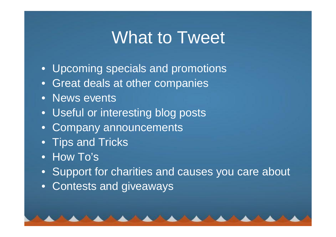## What to Tweet

- Upcoming specials and promotions
- Great deals at other companies
- News events
- Useful or interesting blog posts
- Company announcements
- Tips and Tricks
- How To's
- Support for charities and causes you care about
- Contests and giveaways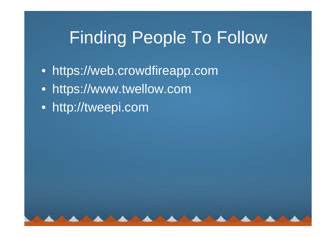# Finding People To Follow

- https://web.crowdfireapp.com
- https://www.twellow.com
- http://tweepi.com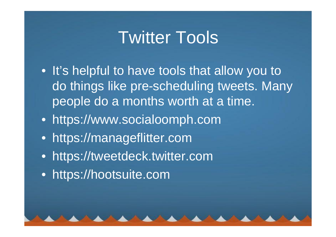## Twitter Tools

- It's helpful to have tools that allow you to do things like pre-scheduling tweets. Many people do a months worth at a time.
- https://www.socialoomph.com
- https://manageflitter.com
- https://tweetdeck.twitter.com
- https://hootsuite.com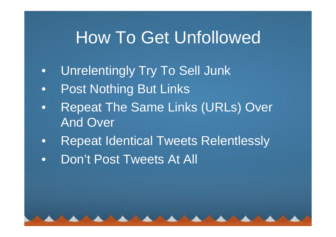#### How To Get Unfollowed

- Unrelentingly Try To Sell Junk
- Post Nothing But Links
- Repeat The Same Links (URLs) Over And Over
- Repeat Identical Tweets Relentlessly
- Don't Post Tweets At All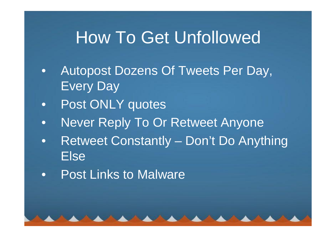## How To Get Unfollowed

- Autopost Dozens Of Tweets Per Day, Every Day
- Post ONLY quotes
- Never Reply To Or Retweet Anyone
- Retweet Constantly Don't Do Anything Else
- Post Links to Malware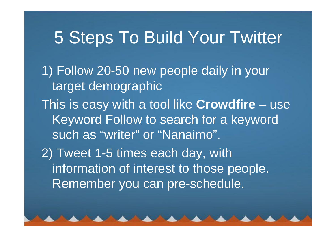### 5 Steps To Build Your Twitter

1) Follow 20-50 new people daily in your target demographic

This is easy with a tool like **Crowdfire** – use Keyword Follow to search for a keyword such as "writer" or "Nanaimo".

2) Tweet 1-5 times each day, with information of interest to those people. Remember you can pre-schedule.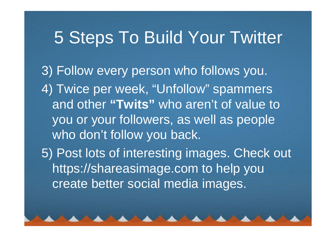#### 5 Steps To Build Your Twitter

3) Follow every person who follows you. 4) Twice per week, "Unfollow" spammers and other **"Twits"** who aren't of value to you or your followers, as well as people who don't follow you back.

5) Post lots of interesting images. Check out https://shareasimage.com to help you create better social media images.